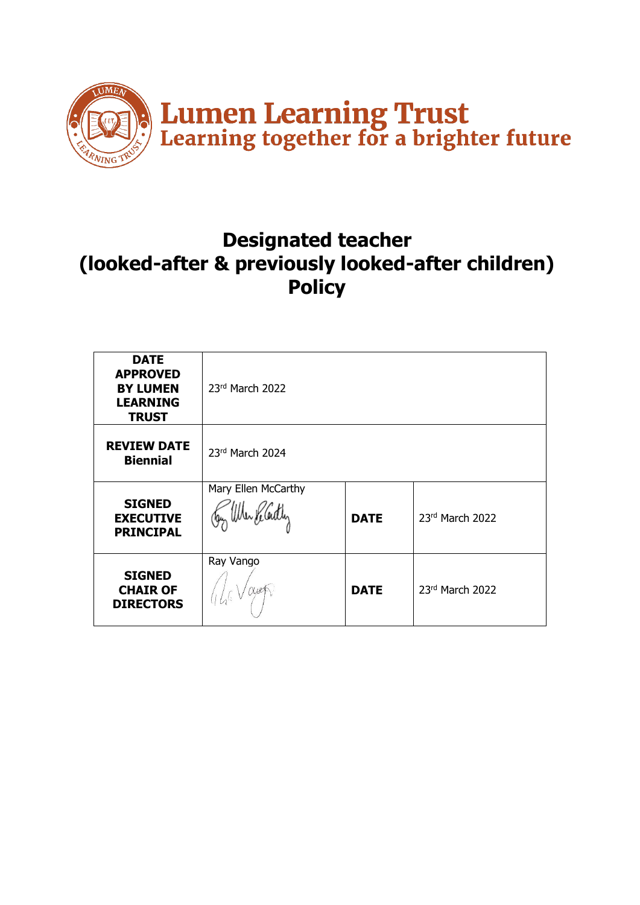

# **Designated teacher (looked-after & previously looked-after children) Policy**

| <b>DATE</b><br><b>APPROVED</b><br><b>BY LUMEN</b><br><b>LEARNING</b><br><b>TRUST</b> | 23rd March 2022                          |             |                   |
|--------------------------------------------------------------------------------------|------------------------------------------|-------------|-------------------|
| <b>REVIEW DATE</b><br><b>Biennial</b>                                                | 23rd March 2024                          |             |                   |
| <b>SIGNED</b><br><b>EXECUTIVE</b><br><b>PRINCIPAL</b>                                | Mary Ellen McCarthy<br>ugy Uner Keladler | <b>DATE</b> | 23rd March 2022   |
| <b>SIGNED</b><br><b>CHAIR OF</b><br><b>DIRECTORS</b>                                 | Ray Vango<br>aves                        | <b>DATE</b> | $23rd$ March 2022 |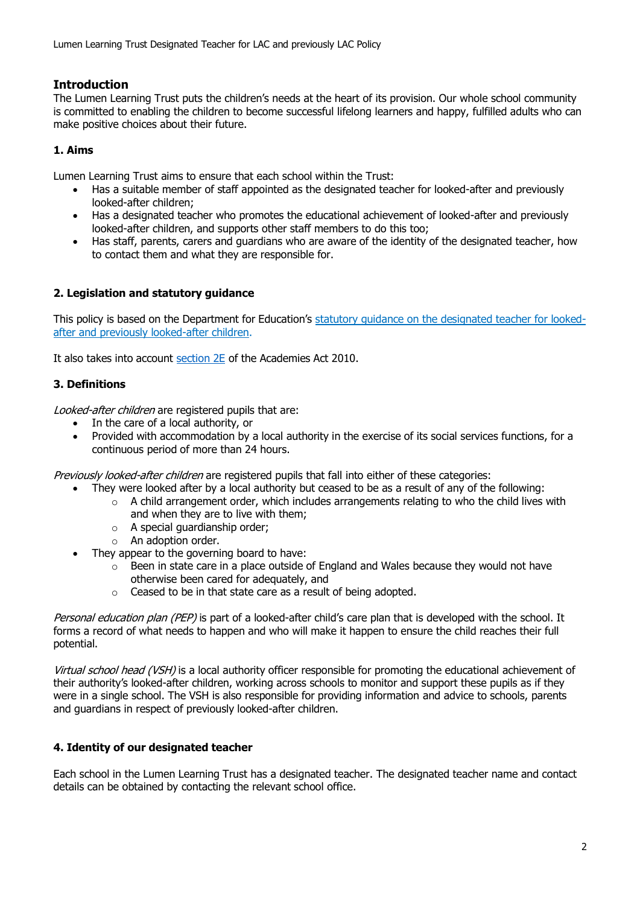# **Introduction**

The Lumen Learning Trust puts the children's needs at the heart of its provision. Our whole school community is committed to enabling the children to become successful lifelong learners and happy, fulfilled adults who can make positive choices about their future.

## **1. Aims**

Lumen Learning Trust aims to ensure that each school within the Trust:

- Has a suitable member of staff appointed as the designated teacher for looked-after and previously looked-after children;
- Has a designated teacher who promotes the educational achievement of looked-after and previously looked-after children, and supports other staff members to do this too;
- Has staff, parents, carers and guardians who are aware of the identity of the designated teacher, how to contact them and what they are responsible for.

#### **2. Legislation and statutory guidance**

This policy is based on the Department for Education's [statutory guidance on the designated teacher for looked](https://www.gov.uk/government/publications/designated-teacher-for-looked-after-children)[after and previously looked-after children.](https://www.gov.uk/government/publications/designated-teacher-for-looked-after-children)

It also takes into account [section 2E](http://www.legislation.gov.uk/ukpga/2010/32/section/2E) of the Academies Act 2010.

## **3. Definitions**

Looked-after children are registered pupils that are:

- In the care of a local authority, or
- Provided with accommodation by a local authority in the exercise of its social services functions, for a continuous period of more than 24 hours.

Previously looked-after children are registered pupils that fall into either of these categories:

- They were looked after by a local authority but ceased to be as a result of any of the following:
	- o A child arrangement order, which includes arrangements relating to who the child lives with and when they are to live with them;
	- o A special guardianship order;
	- o An adoption order.
- They appear to the governing board to have:
	- $\circ$  Been in state care in a place outside of England and Wales because they would not have otherwise been cared for adequately, and
	- o Ceased to be in that state care as a result of being adopted.

Personal education plan (PEP) is part of a looked-after child's care plan that is developed with the school. It forms a record of what needs to happen and who will make it happen to ensure the child reaches their full potential.

Virtual school head (VSH) is a local authority officer responsible for promoting the educational achievement of their authority's looked-after children, working across schools to monitor and support these pupils as if they were in a single school. The VSH is also responsible for providing information and advice to schools, parents and guardians in respect of previously looked-after children.

#### **4. Identity of our designated teacher**

Each school in the Lumen Learning Trust has a designated teacher. The designated teacher name and contact details can be obtained by contacting the relevant school office.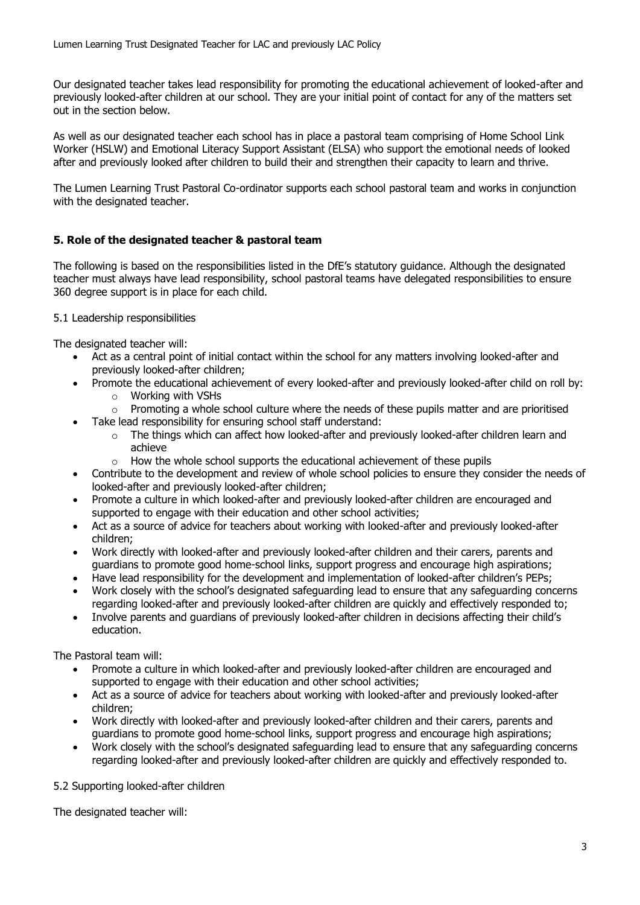Our designated teacher takes lead responsibility for promoting the educational achievement of looked-after and previously looked-after children at our school. They are your initial point of contact for any of the matters set out in the section below.

As well as our designated teacher each school has in place a pastoral team comprising of Home School Link Worker (HSLW) and Emotional Literacy Support Assistant (ELSA) who support the emotional needs of looked after and previously looked after children to build their and strengthen their capacity to learn and thrive.

The Lumen Learning Trust Pastoral Co-ordinator supports each school pastoral team and works in conjunction with the designated teacher.

#### **5. Role of the designated teacher & pastoral team**

The following is based on the responsibilities listed in the [DfE's statutory guidance](https://www.gov.uk/government/publications/designated-teacher-for-looked-after-children). Although the designated teacher must always have lead responsibility, school pastoral teams have delegated responsibilities to ensure 360 degree support is in place for each child.

#### 5.1 Leadership responsibilities

The designated teacher will:

- Act as a central point of initial contact within the school for any matters involving looked-after and previously looked-after children;
- Promote the educational achievement of every looked-after and previously looked-after child on roll by:
	- o Working with VSHs
	- $\circ$  Promoting a whole school culture where the needs of these pupils matter and are prioritised
- Take lead responsibility for ensuring school staff understand:
	- $\circ$  The things which can affect how looked-after and previously looked-after children learn and achieve
	- $\circ$  How the whole school supports the educational achievement of these pupils
- Contribute to the development and review of whole school policies to ensure they consider the needs of looked-after and previously looked-after children;
- Promote a culture in which looked-after and previously looked-after children are encouraged and supported to engage with their education and other school activities;
- Act as a source of advice for teachers about working with looked-after and previously looked-after children;
- Work directly with looked-after and previously looked-after children and their carers, parents and guardians to promote good home-school links, support progress and encourage high aspirations;
- Have lead responsibility for the development and implementation of looked-after children's PEPs;
- Work closely with the school's designated safeguarding lead to ensure that any safeguarding concerns regarding looked-after and previously looked-after children are quickly and effectively responded to;
- Involve parents and guardians of previously looked-after children in decisions affecting their child's education.

The Pastoral team will:

- Promote a culture in which looked-after and previously looked-after children are encouraged and supported to engage with their education and other school activities;
- Act as a source of advice for teachers about working with looked-after and previously looked-after children;
- Work directly with looked-after and previously looked-after children and their carers, parents and guardians to promote good home-school links, support progress and encourage high aspirations;
- Work closely with the school's designated safeguarding lead to ensure that any safeguarding concerns regarding looked-after and previously looked-after children are quickly and effectively responded to.

5.2 Supporting looked-after children

The designated teacher will: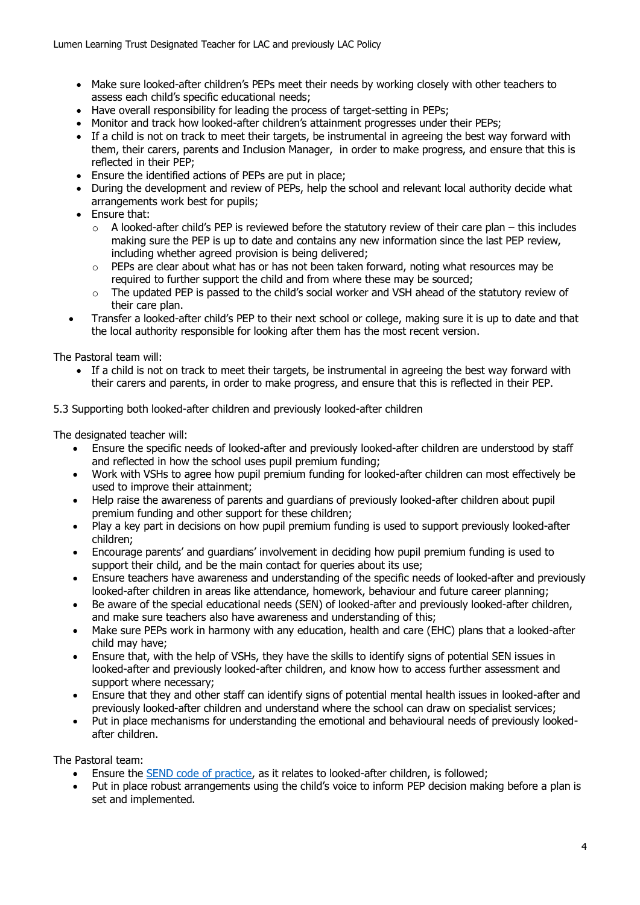- Make sure looked-after children's PEPs meet their needs by working closely with other teachers to assess each child's specific educational needs;
- Have overall responsibility for leading the process of target-setting in PEPs;
- Monitor and track how looked-after children's attainment progresses under their PEPs;
- If a child is not on track to meet their targets, be instrumental in agreeing the best way forward with them, their carers, parents and Inclusion Manager, in order to make progress, and ensure that this is reflected in their PEP;
- Ensure the identified actions of PEPs are put in place;
- During the development and review of PEPs, help the school and relevant local authority decide what arrangements work best for pupils;
- Ensure that:
	- $\circ$  A looked-after child's PEP is reviewed before the statutory review of their care plan this includes making sure the PEP is up to date and contains any new information since the last PEP review, including whether agreed provision is being delivered;
	- o PEPs are clear about what has or has not been taken forward, noting what resources may be required to further support the child and from where these may be sourced;
	- $\circ$  The updated PEP is passed to the child's social worker and VSH ahead of the statutory review of their care plan.
- Transfer a looked-after child's PEP to their next school or college, making sure it is up to date and that the local authority responsible for looking after them has the most recent version.

The Pastoral team will:

• If a child is not on track to meet their targets, be instrumental in agreeing the best way forward with their carers and parents, in order to make progress, and ensure that this is reflected in their PEP.

5.3 Supporting both looked-after children and previously looked-after children

The designated teacher will:

- Ensure the specific needs of looked-after and previously looked-after children are understood by staff and reflected in how the school uses pupil premium funding;
- Work with VSHs to agree how pupil premium funding for looked-after children can most effectively be used to improve their attainment;
- Help raise the awareness of parents and guardians of previously looked-after children about pupil premium funding and other support for these children;
- Play a key part in decisions on how pupil premium funding is used to support previously looked-after children;
- Encourage parents' and guardians' involvement in deciding how pupil premium funding is used to support their child, and be the main contact for queries about its use;
- Ensure teachers have awareness and understanding of the specific needs of looked-after and previously looked-after children in areas like attendance, homework, behaviour and future career planning;
- Be aware of the special educational needs (SEN) of looked-after and previously looked-after children, and make sure teachers also have awareness and understanding of this;
- Make sure PEPs work in harmony with any education, health and care (EHC) plans that a looked-after child may have;
- Ensure that, with the help of VSHs, they have the skills to identify signs of potential SEN issues in looked-after and previously looked-after children, and know how to access further assessment and support where necessary;
- Ensure that they and other staff can identify signs of potential mental health issues in looked-after and previously looked-after children and understand where the school can draw on specialist services;
- Put in place mechanisms for understanding the emotional and behavioural needs of previously lookedafter children.

The Pastoral team:

- Ensure the [SEND code of practice,](https://www.gov.uk/government/publications/send-code-of-practice-0-to-25) as it relates to looked-after children, is followed;
- Put in place robust arrangements using the child's voice to inform PEP decision making before a plan is set and implemented.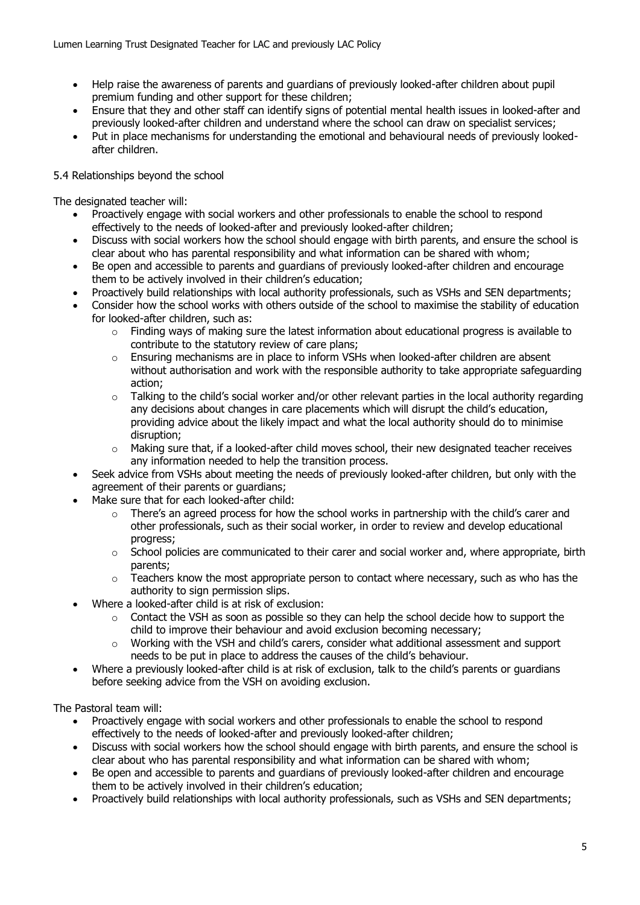- Help raise the awareness of parents and quardians of previously looked-after children about pupil premium funding and other support for these children;
- Ensure that they and other staff can identify signs of potential mental health issues in looked-after and previously looked-after children and understand where the school can draw on specialist services;
- Put in place mechanisms for understanding the emotional and behavioural needs of previously lookedafter children.

## 5.4 Relationships beyond the school

The designated teacher will:

- Proactively engage with social workers and other professionals to enable the school to respond effectively to the needs of looked-after and previously looked-after children;
- Discuss with social workers how the school should engage with birth parents, and ensure the school is clear about who has parental responsibility and what information can be shared with whom;
- Be open and accessible to parents and guardians of previously looked-after children and encourage them to be actively involved in their children's education;
- Proactively build relationships with local authority professionals, such as VSHs and SEN departments;
- Consider how the school works with others outside of the school to maximise the stability of education for looked-after children, such as:
	- $\circ$  Finding ways of making sure the latest information about educational progress is available to contribute to the statutory review of care plans;
	- $\circ$  Ensuring mechanisms are in place to inform VSHs when looked-after children are absent without authorisation and work with the responsible authority to take appropriate safeguarding action;
	- $\circ$  Talking to the child's social worker and/or other relevant parties in the local authority regarding any decisions about changes in care placements which will disrupt the child's education, providing advice about the likely impact and what the local authority should do to minimise disruption;
	- $\circ$  Making sure that, if a looked-after child moves school, their new designated teacher receives any information needed to help the transition process.
- Seek advice from VSHs about meeting the needs of previously looked-after children, but only with the agreement of their parents or guardians;
- Make sure that for each looked-after child:
	- $\circ$  There's an agreed process for how the school works in partnership with the child's carer and other professionals, such as their social worker, in order to review and develop educational progress;
	- $\circ$  School policies are communicated to their carer and social worker and, where appropriate, birth parents;
	- $\circ$  Teachers know the most appropriate person to contact where necessary, such as who has the authority to sign permission slips.
- Where a looked-after child is at risk of exclusion:
	- o Contact the VSH as soon as possible so they can help the school decide how to support the child to improve their behaviour and avoid exclusion becoming necessary;
	- $\circ$  Working with the VSH and child's carers, consider what additional assessment and support needs to be put in place to address the causes of the child's behaviour.
- Where a previously looked-after child is at risk of exclusion, talk to the child's parents or guardians before seeking advice from the VSH on avoiding exclusion.

The Pastoral team will:

- Proactively engage with social workers and other professionals to enable the school to respond effectively to the needs of looked-after and previously looked-after children;
- Discuss with social workers how the school should engage with birth parents, and ensure the school is clear about who has parental responsibility and what information can be shared with whom;
- Be open and accessible to parents and guardians of previously looked-after children and encourage them to be actively involved in their children's education;
- Proactively build relationships with local authority professionals, such as VSHs and SEN departments;